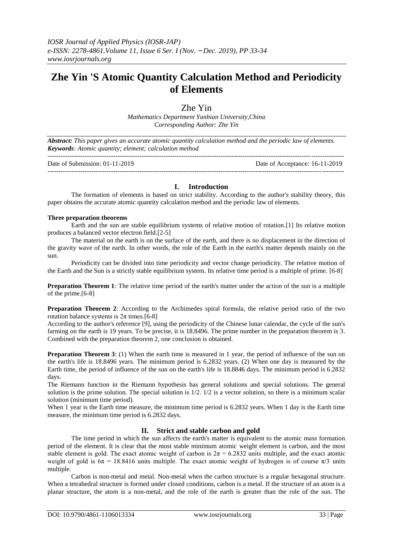# **Zhe Yin 'S Atomic Quantity Calculation Method and Periodicity of Elements**

Zhe Yin

*Mathematics Department Yanbian University,China Corresponding Author: Zhe Yin*

*Abstract: This paper gives an accurate atomic quantity calculation method and the periodic law of elements. Keywords: Atomic quantity; element; calculation method*

| Date of Submission: $01-11-2019$ | Date of Acceptance: 16-11-2019 |
|----------------------------------|--------------------------------|
|                                  |                                |

## **I. Introduction**

The formation of elements is based on strict stability. According to the author's stability theory, this paper obtains the accurate atomic quantity calculation method and the periodic law of elements.

### **Three preparation theorems**

Earth and the sun are stable equilibrium systems of relative motion of rotation.[1] Its relative motion produces a balanced vector electron field.[2-5]

The material on the earth is on the surface of the earth, and there is no displacement in the direction of the gravity wave of the earth. In other words, the role of the Earth in the earth's matter depends mainly on the sun.

Periodicity can be divided into time periodicity and vector change periodicity. The relative motion of the Earth and the Sun is a strictly stable equilibrium system. Its relative time period is a multiple of prime. [6-8]

**Preparation Theorem 1**: The relative time period of the earth's matter under the action of the sun is a multiple of the prime.[6-8]

**Preparation Theorem 2**: According to the Archimedes spiral formula, the relative period ratio of the two rotation balance systems is  $2π$  times. [6-8]

According to the author's reference [9], using the periodicity of the Chinese lunar calendar, the cycle of the sun's farming on the earth is 19 years. To be precise, it is 18.8496. The prime number in the preparation theorem is 3. Combined with the preparation theorem 2, one conclusion is obtained.

**Preparation Theorem 3**: (1) When the earth time is measured in 1 year, the period of influence of the sun on the earth's life is 18.8496 years. The minimum period is 6.2832 years. (2) When one day is measured by the Earth time, the period of influence of the sun on the earth's life is 18.8846 days. The minimum period is 6.2832 days.

The Riemann function in the Riemann hypothesis has general solutions and special solutions. The general solution is the prime solution. The special solution is 1/2. 1/2 is a vector solution, so there is a minimum scalar solution (minimum time period).

When 1 year is the Earth time measure, the minimum time period is 6.2832 years. When 1 day is the Earth time measure, the minimum time period is 6.2832 days.

## **II. Strict and stable carbon and gold**

The time period in which the sun affects the earth's matter is equivalent to the atomic mass formation period of the element. It is clear that the most stable minimum atomic weight element is carbon, and the most stable element is gold. The exact atomic weight of carbon is  $2\pi = 6.2832$  units multiple, and the exact atomic weight of gold is  $6\pi = 18.8416$  units multiple. The exact atomic weight of hydrogen is of course  $\pi/3$  units multiple.

Carbon is non-metal and metal. Non-metal when the carbon structure is a regular hexagonal structure. When a tetrahedral structure is formed under closed conditions, carbon is a metal. If the structure of an atom is a planar structure, the atom is a non-metal, and the role of the earth is greater than the role of the sun. The